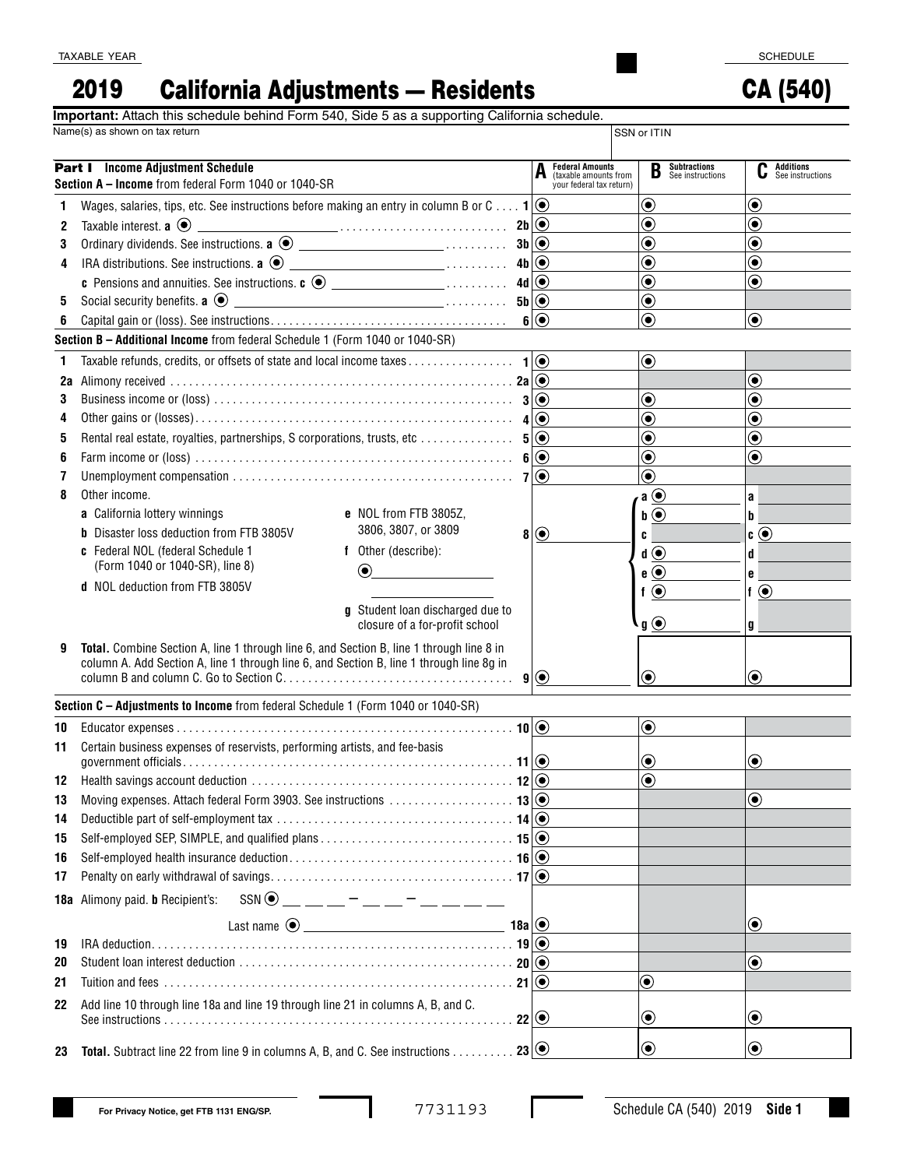CA (540)

## 2019 California Adjustments — Residents

**Important:** Attach this schedule behind Form 540, Side 5 as a supporting California schedule.

|    | Name(s) as shown on tax return                                                                                                                                                       |                                                                             | SSN or ITIN                               |                                           |
|----|--------------------------------------------------------------------------------------------------------------------------------------------------------------------------------------|-----------------------------------------------------------------------------|-------------------------------------------|-------------------------------------------|
|    | <b>Part I</b> Income Adjustment Schedule<br>Section A - Income from federal Form 1040 or 1040-SR                                                                                     | <b>Federal Amounts</b><br>(taxable amounts from<br>your federal tax return) | <b>B</b> Subtractions<br>See instructions | <b>Additions</b><br>C<br>See instructions |
| 1  | Wages, salaries, tips, etc. See instructions before making an entry in column B or C $\mathbf{1} \odot$                                                                              |                                                                             | $\boldsymbol{\odot}$                      | $\boldsymbol{\odot}$                      |
| 2  | Taxable interest. <b>a</b> $\odot$                                                                                                                                                   |                                                                             | $\textcolor{blue}{\bullet}$               | $\textcolor{blue}{\bullet}$               |
| 3  |                                                                                                                                                                                      |                                                                             | $\bf{(\bullet)}$                          | $\circledbullet$                          |
| 4  |                                                                                                                                                                                      |                                                                             | $\textcolor{blue}{\bullet}$               | $\textcolor{blue}{\bullet}$               |
|    | c Pensions and annuities. See instructions. c $\odot$ __________________ 4d $\odot$                                                                                                  |                                                                             | $\textcolor{blue}{\bullet}$               | $\bf \odot$                               |
| 5  |                                                                                                                                                                                      |                                                                             | $\textcolor{blue}{\bullet}$               |                                           |
| 6  |                                                                                                                                                                                      | 6(                                                                          | $\circledbullet$                          | $\circledbullet$                          |
|    | Section B - Additional Income from federal Schedule 1 (Form 1040 or 1040-SR)                                                                                                         |                                                                             |                                           |                                           |
| 1  |                                                                                                                                                                                      |                                                                             | $\textcircled{\small\bullet}$             |                                           |
| 2a |                                                                                                                                                                                      |                                                                             |                                           | $\bf{(\bullet)}$                          |
| 3  |                                                                                                                                                                                      |                                                                             | $\boldsymbol{\odot}$                      | $\textcolor{blue}{\bullet}$               |
| 4  |                                                                                                                                                                                      |                                                                             | $\textcolor{blue}{\bullet}$               | $\textcolor{blue}{\bullet}$               |
| 5  |                                                                                                                                                                                      |                                                                             | $\bf{(\bullet)}$                          | $\circledbullet$                          |
| 6  |                                                                                                                                                                                      |                                                                             | $\textcolor{blue}{\bullet}$               | $\bf{(\bullet)}$                          |
| 7  |                                                                                                                                                                                      |                                                                             | $\bf{(\bullet)}$                          |                                           |
| 8  | Other income.                                                                                                                                                                        |                                                                             | $a \odot$                                 | a                                         |
|    | a California lottery winnings<br>e NOL from FTB 3805Z.                                                                                                                               |                                                                             | $\mathbf{b}$ $\odot$                      | b                                         |
|    | 3806, 3807, or 3809<br><b>b</b> Disaster loss deduction from FTB 3805V<br>8 <sup>1</sup>                                                                                             | $\odot$                                                                     | C                                         | $\bullet$ $\odot$                         |
|    | c Federal NOL (federal Schedule 1<br>f Other (describe):                                                                                                                             |                                                                             | $\mathbf{d}(\mathbf{\Theta})$             | d                                         |
|    | (Form 1040 or 1040-SR), line 8)<br>$\textcircled{\scriptsize\bullet}$                                                                                                                |                                                                             | $e$ $\odot$                               | e                                         |
|    | d NOL deduction from FTB 3805V                                                                                                                                                       |                                                                             | $f$ $\odot$                               | $f$ $\odot$                               |
|    | g Student loan discharged due to<br>closure of a for-profit school                                                                                                                   |                                                                             | $\mathbf{g}$ $\odot$                      | g                                         |
| 9  | Total. Combine Section A, line 1 through line 6, and Section B, line 1 through line 8 in<br>column A. Add Section A, line 1 through line 6, and Section B, line 1 through line 8g in | 9(                                                                          | $\left( \bullet \right)$                  | $\left( \bullet \right)$                  |
|    | Section C - Adjustments to Income from federal Schedule 1 (Form 1040 or 1040-SR)                                                                                                     |                                                                             |                                           |                                           |
| 10 |                                                                                                                                                                                      |                                                                             | $\odot$                                   |                                           |
| 11 | Certain business expenses of reservists, performing artists, and fee-basis                                                                                                           |                                                                             |                                           |                                           |
|    |                                                                                                                                                                                      |                                                                             | $\boldsymbol{\odot}$                      | $\left( \bullet \right)$                  |
|    |                                                                                                                                                                                      |                                                                             | $\bf{(\bullet)}$                          |                                           |
| 13 |                                                                                                                                                                                      |                                                                             |                                           | $\boldsymbol{\odot}$                      |
| 14 |                                                                                                                                                                                      |                                                                             |                                           |                                           |
| 15 |                                                                                                                                                                                      |                                                                             |                                           |                                           |
| 16 |                                                                                                                                                                                      |                                                                             |                                           |                                           |
| 17 |                                                                                                                                                                                      |                                                                             |                                           |                                           |
|    | $SSN$ $\odot$ _ _ _ _ - _ _ - _ _ _ _<br>18a Alimony paid. b Recipient's:                                                                                                            |                                                                             |                                           |                                           |
|    | $18a$ $\odot$                                                                                                                                                                        |                                                                             |                                           | $\textcircled{\small{\bullet}}$           |
| 19 |                                                                                                                                                                                      |                                                                             |                                           |                                           |
| 20 |                                                                                                                                                                                      |                                                                             |                                           | $\boldsymbol{\odot}$                      |
| 21 |                                                                                                                                                                                      |                                                                             | $\boldsymbol{\odot}$                      |                                           |
| 22 | Add line 10 through line 18a and line 19 through line 21 in columns A, B, and C.<br>$22$ $\odot$                                                                                     |                                                                             | $\boldsymbol{\odot}$                      | $\boldsymbol{\odot}$                      |
| 23 | <b>Total.</b> Subtract line 22 from line 9 in columns A, B, and C. See instructions 23 $\circ$                                                                                       |                                                                             | $\bf{O}$                                  | $\boldsymbol{\odot}$                      |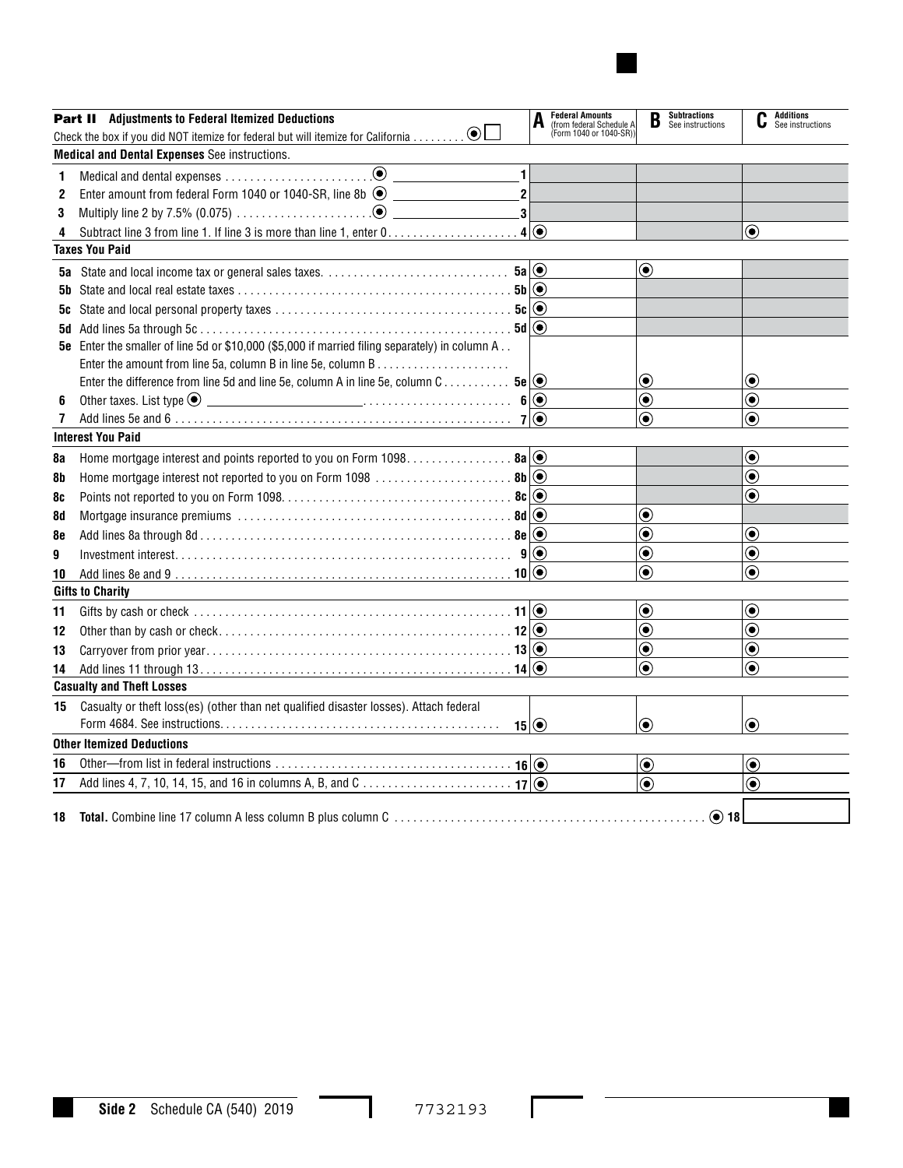